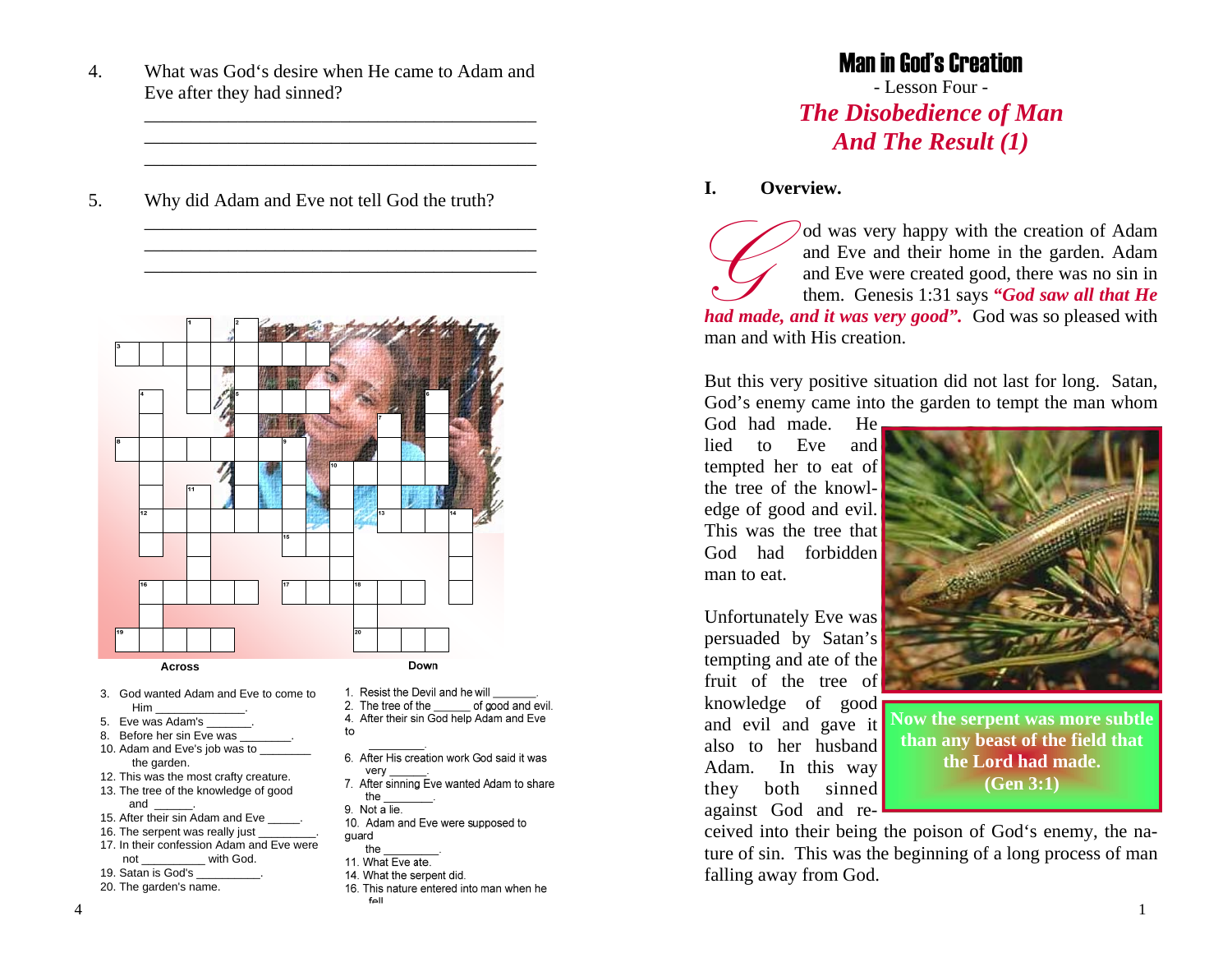4. What was God's desire when He came to Adam and Eve after they had sinned?

\_\_\_\_\_\_\_\_\_\_\_\_\_\_\_\_\_\_\_\_\_\_\_\_\_\_\_\_\_\_\_\_\_\_\_\_\_\_\_\_\_\_

\_\_\_\_\_\_\_\_\_\_\_\_\_\_\_\_\_\_\_\_\_\_\_\_\_\_\_\_\_\_\_\_\_\_\_\_\_\_\_\_\_\_

\_\_\_\_\_\_\_\_\_\_\_\_\_\_\_\_\_\_\_\_\_\_\_\_\_\_\_\_\_\_\_\_\_\_\_\_\_\_\_\_\_\_

\_\_\_\_\_\_\_\_\_\_\_\_\_\_\_\_\_\_\_\_\_\_\_\_\_\_\_\_\_\_\_\_\_\_\_\_\_\_\_\_\_\_

5. Why did Adam and Eve not tell God the truth?



 **Across**

- 3. God wanted Adam and Eve to come toHim \_\_\_\_\_\_\_\_\_\_\_\_\_\_.
- 5. Eve was Adam's
- 8. Before her sin Eve was
- 10. Adam and Eve's job was to \_ the garden.
- 12. This was the most crafty creature.
- 13. The tree of the knowledge of good and
- 15. After their sin Adam and Eve
- 16. The serpent was really just 17. In their confession Adam and Eve were
- not with God. 19. Satan is God's
- 
- 20. The garden's name.
- 
- 1. Resist the Devil and he will
- 2. The tree of the of good and evil.
- 4. After their sin God help Adam and Eve  $to$
- 
- 6. After His creation work God said it was very
- 7. After sinning Eve wanted Adam to share the
- 9. Not a lie.
- 10. Adam and Eve were supposed to quard
- the
- 11. What Eve ate.
- 14. What the serpent did.
- 16. This nature entered into man when he  $f<sub>Q</sub>$

# Man in God's Creation

- Lesson Four - *The Disobedience of Man And The Result (1)*

#### **I. Overview.**

*G* od was very happy with the creation of Adam and Eve and their home in the garden. Adam and Eve were created good, there was no sin in them. Genesis 1:31 says *"God saw all that He had made, and it was very good".* God was so pleased with man and with His creation.

But this very positive situation did not last for long. Satan, God's enemy came into the garden to tempt the man whom

God had made. He lied to Eve and tempted her to eat of the tree of the knowledge of good and evil. This was the tree that God had forbidden man to eat.

Unfortunately Eve was persuaded by Satan's tempting and ate of the fruit of the tree of knowledge of good and evil and gave it also to her husband Adam. In this way they both sinned against God and re-



**Now the serpent was more subtle than any beast of the field that the Lord had made. (Gen 3:1)** 

ceived into their being the poison of God's enemy, the nature of sin. This was the beginning of a long process of man falling away from God.